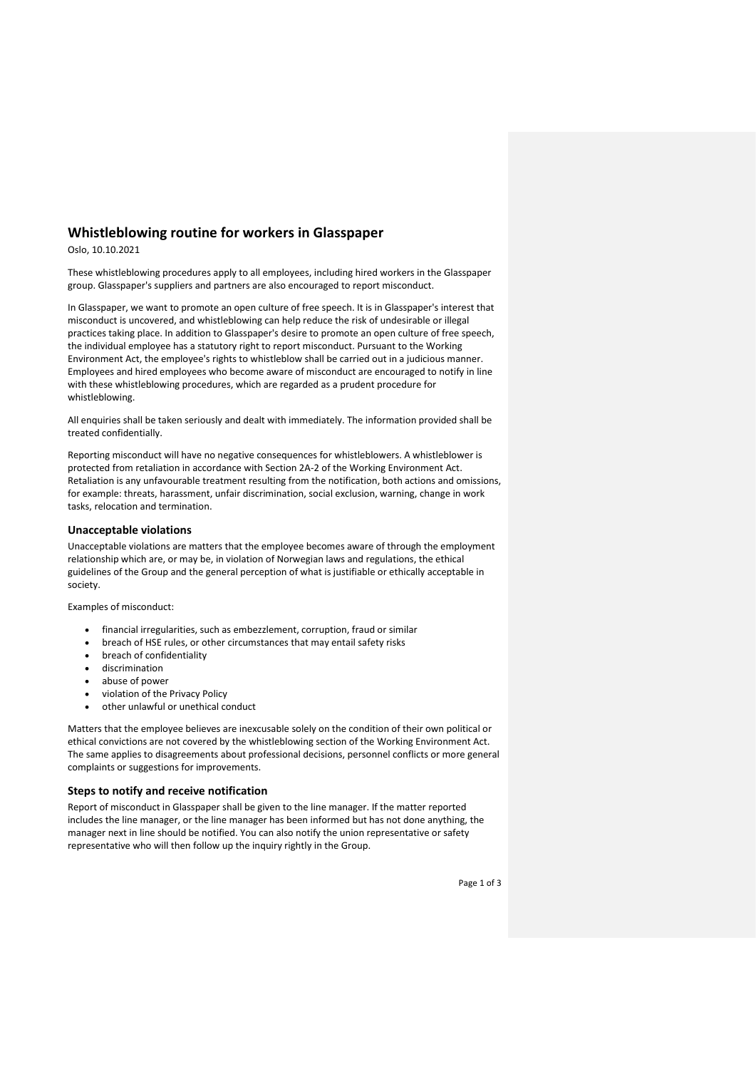# **Whistleblowing routine for workers in Glasspaper**

Oslo, 10.10.2021

These whistleblowing procedures apply to all employees, including hired workers in the Glasspaper group. Glasspaper's suppliers and partners are also encouraged to report misconduct.

In Glasspaper, we want to promote an open culture of free speech. It is in Glasspaper's interest that misconduct is uncovered, and whistleblowing can help reduce the risk of undesirable or illegal practices taking place. In addition to Glasspaper's desire to promote an open culture of free speech, the individual employee has a statutory right to report misconduct. Pursuant to the Working Environment Act, the employee's rights to whistleblow shall be carried out in a judicious manner. Employees and hired employees who become aware of misconduct are encouraged to notify in line with these whistleblowing procedures, which are regarded as a prudent procedure for whistleblowing.

All enquiries shall be taken seriously and dealt with immediately. The information provided shall be treated confidentially.

Reporting misconduct will have no negative consequences for whistleblowers. A whistleblower is protected from retaliation in accordance with Section 2A-2 of the Working Environment Act. Retaliation is any unfavourable treatment resulting from the notification, both actions and omissions, for example: threats, harassment, unfair discrimination, social exclusion, warning, change in work tasks, relocation and termination.

## **Unacceptable violations**

Unacceptable violations are matters that the employee becomes aware of through the employment relationship which are, or may be, in violation of Norwegian laws and regulations, the ethical guidelines of the Group and the general perception of what is justifiable or ethically acceptable in society.

Examples of misconduct:

- financial irregularities, such as embezzlement, corruption, fraud or similar
- breach of HSE rules, or other circumstances that may entail safety risks
- breach of confidentiality
- discrimination
- abuse of power
- violation of the Privacy Policy
- other unlawful or unethical conduct

Matters that the employee believes are inexcusable solely on the condition of their own political or ethical convictions are not covered by the whistleblowing section of the Working Environment Act. The same applies to disagreements about professional decisions, personnel conflicts or more general complaints or suggestions for improvements.

### **Steps to notify and receive notification**

Report of misconduct in Glasspaper shall be given to the line manager. If the matter reported includes the line manager, or the line manager has been informed but has not done anything, the manager next in line should be notified. You can also notify the union representative or safety representative who will then follow up the inquiry rightly in the Group.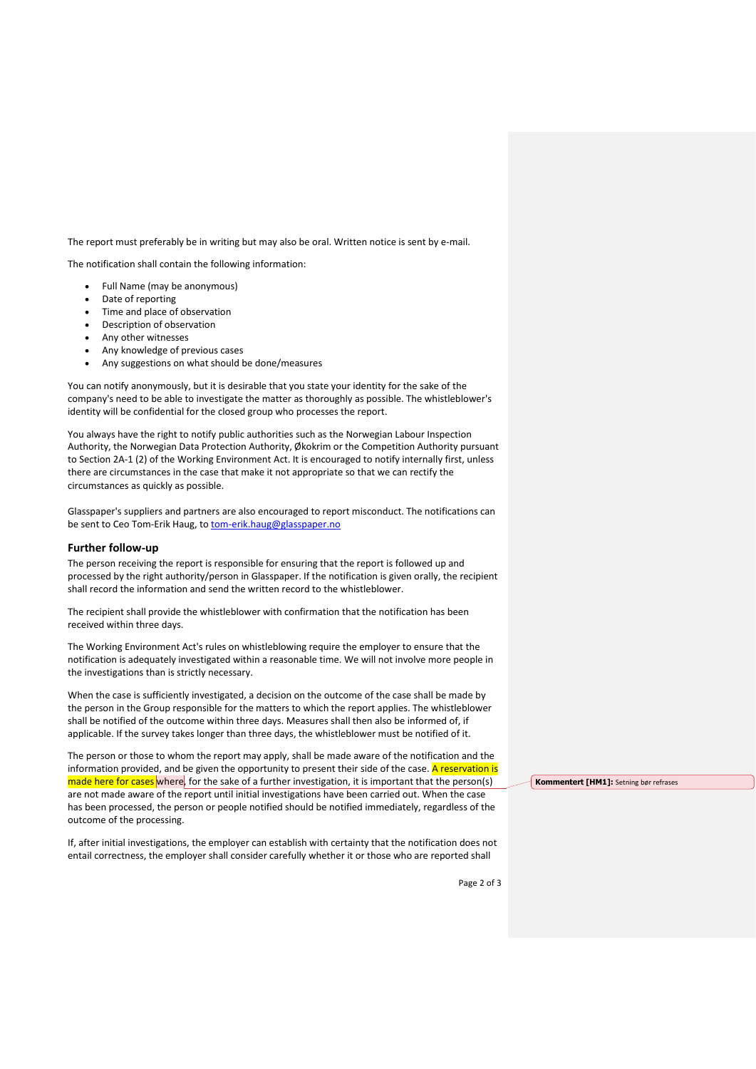The report must preferably be in writing but may also be oral. Written notice is sent by e-mail.

The notification shall contain the following information:

- Full Name (may be anonymous)
- Date of reporting
- Time and place of observation
- Description of observation
- Any other witnesses
- Any knowledge of previous cases
- Any suggestions on what should be done/measures

You can notify anonymously, but it is desirable that you state your identity for the sake of the company's need to be able to investigate the matter as thoroughly as possible. The whistleblower's identity will be confidential for the closed group who processes the report.

You always have the right to notify public authorities such as the Norwegian Labour Inspection Authority, the Norwegian Data Protection Authority, Økokrim or the Competition Authority pursuant to Section 2A-1 (2) of the Working Environment Act. It is encouraged to notify internally first, unless there are circumstances in the case that make it not appropriate so that we can rectify the circumstances as quickly as possible.

Glasspaper's suppliers and partners are also encouraged to report misconduct. The notifications can be sent to Ceo Tom-Erik Haug, to [tom-erik.haug@glasspaper.no](mailto:tom-erik.haug@glasspaper.no)

### **Further follow-up**

The person receiving the report is responsible for ensuring that the report is followed up and processed by the right authority/person in Glasspaper. If the notification is given orally, the recipient shall record the information and send the written record to the whistleblower.

The recipient shall provide the whistleblower with confirmation that the notification has been received within three days.

The Working Environment Act's rules on whistleblowing require the employer to ensure that the notification is adequately investigated within a reasonable time. We will not involve more people in the investigations than is strictly necessary.

When the case is sufficiently investigated, a decision on the outcome of the case shall be made by the person in the Group responsible for the matters to which the report applies. The whistleblower shall be notified of the outcome within three days. Measures shall then also be informed of, if applicable. If the survey takes longer than three days, the whistleblower must be notified of it.

The person or those to whom the report may apply, shall be made aware of the notification and the information provided, and be given the opportunity to present their side of the case. A reservation is made here for cases where, for the sake of a further investigation, it is important that the person(s) are not made aware of the report until initial investigations have been carried out. When the case has been processed, the person or people notified should be notified immediately, regardless of the outcome of the processing.

If, after initial investigations, the employer can establish with certainty that the notification does not entail correctness, the employer shall consider carefully whether it or those who are reported shall

**Kommentert [HM1]:** Setning bør refrases

Page 2 of 3